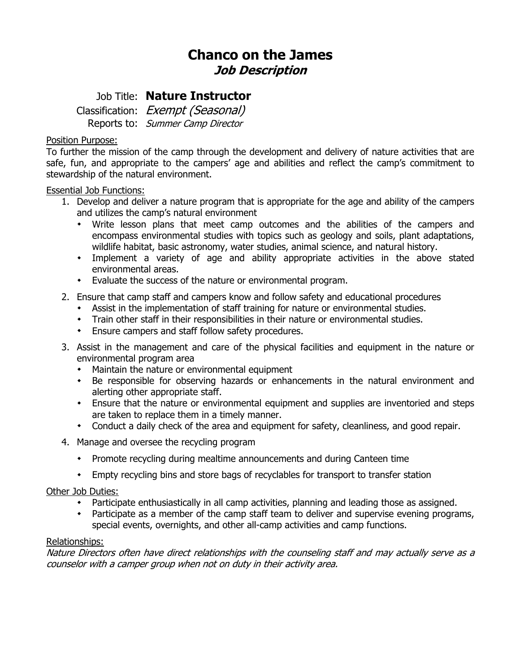# **Chanco on the James Job Description**

## Job Title: **Nature Instructor**

Classification: Exempt (Seasonal) Reports to: Summer Camp Director

### Position Purpose:

To further the mission of the camp through the development and delivery of nature activities that are safe, fun, and appropriate to the campers' age and abilities and reflect the camp's commitment to stewardship of the natural environment.

#### Essential Job Functions:

- 1. Develop and deliver a nature program that is appropriate for the age and ability of the campers and utilizes the camp's natural environment
	- Write lesson plans that meet camp outcomes and the abilities of the campers and encompass environmental studies with topics such as geology and soils, plant adaptations, wildlife habitat, basic astronomy, water studies, animal science, and natural history.
	- Implement a variety of age and ability appropriate activities in the above stated environmental areas.
	- Evaluate the success of the nature or environmental program.
- 2. Ensure that camp staff and campers know and follow safety and educational procedures
	- Assist in the implementation of staff training for nature or environmental studies.
	- Train other staff in their responsibilities in their nature or environmental studies.
	- Ensure campers and staff follow safety procedures.
- 3. Assist in the management and care of the physical facilities and equipment in the nature or environmental program area
	- Maintain the nature or environmental equipment
	- Be responsible for observing hazards or enhancements in the natural environment and alerting other appropriate staff.
	- Ensure that the nature or environmental equipment and supplies are inventoried and steps are taken to replace them in a timely manner.
	- Conduct a daily check of the area and equipment for safety, cleanliness, and good repair.
- 4. Manage and oversee the recycling program
	- Promote recycling during mealtime announcements and during Canteen time
	- Empty recycling bins and store bags of recyclables for transport to transfer station

#### Other Job Duties:

- Participate enthusiastically in all camp activities, planning and leading those as assigned.
- Participate as a member of the camp staff team to deliver and supervise evening programs, special events, overnights, and other all-camp activities and camp functions.

#### Relationships:

Nature Directors often have direct relationships with the counseling staff and may actually serve as a counselor with a camper group when not on duty in their activity area.